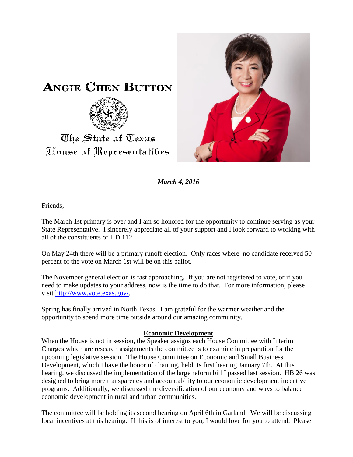

*March 4, 2016*

Friends,

The State of Texas

The March 1st primary is over and I am so honored for the opportunity to continue serving as your State Representative. I sincerely appreciate all of your support and I look forward to working with all of the constituents of HD 112.

On May 24th there will be a primary runoff election. Only races where no candidate received 50 percent of the vote on March 1st will be on this ballot.

The November general election is fast approaching. If you are not registered to vote, or if you need to make updates to your address, now is the time to do that. For more information, please visit [http://www.votetexas.gov/.](http://www.votetexas.gov/)

Spring has finally arrived in North Texas. I am grateful for the warmer weather and the opportunity to spend more time outside around our amazing community.

## **Economic Development**

When the House is not in session, the Speaker assigns each House Committee with Interim Charges which are research assignments the committee is to examine in preparation for the upcoming legislative session. The House Committee on Economic and Small Business Development, which I have the honor of chairing, held its first hearing January 7th. At this hearing, we discussed the implementation of the large reform bill I passed last session. HB 26 was designed to bring more transparency and accountability to our economic development incentive programs. Additionally, we discussed the diversification of our economy and ways to balance economic development in rural and urban communities.

The committee will be holding its second hearing on April 6th in Garland. We will be discussing local incentives at this hearing. If this is of interest to you, I would love for you to attend. Please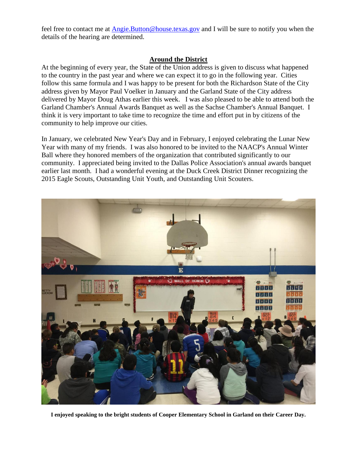feel free to contact me at [Angie.Button@house.texas.gov](mailto:Angie.Button@house.texas.gov) and I will be sure to notify you when the details of the hearing are determined.

## **Around the District**

At the beginning of every year, the State of the Union address is given to discuss what happened to the country in the past year and where we can expect it to go in the following year. Cities follow this same formula and I was happy to be present for both the Richardson State of the City address given by Mayor Paul Voelker in January and the Garland State of the City address delivered by Mayor Doug Athas earlier this week. I was also pleased to be able to attend both the Garland Chamber's Annual Awards Banquet as well as the Sachse Chamber's Annual Banquet. I think it is very important to take time to recognize the time and effort put in by citizens of the community to help improve our cities.

In January, we celebrated New Year's Day and in February, I enjoyed celebrating the Lunar New Year with many of my friends. I was also honored to be invited to the NAACP's Annual Winter Ball where they honored members of the organization that contributed significantly to our community. I appreciated being invited to the Dallas Police Association's annual awards banquet earlier last month. I had a wonderful evening at the Duck Creek District Dinner recognizing the 2015 Eagle Scouts, Outstanding Unit Youth, and Outstanding Unit Scouters.



**I enjoyed speaking to the bright students of Cooper Elementary School in Garland on their Career Day.**